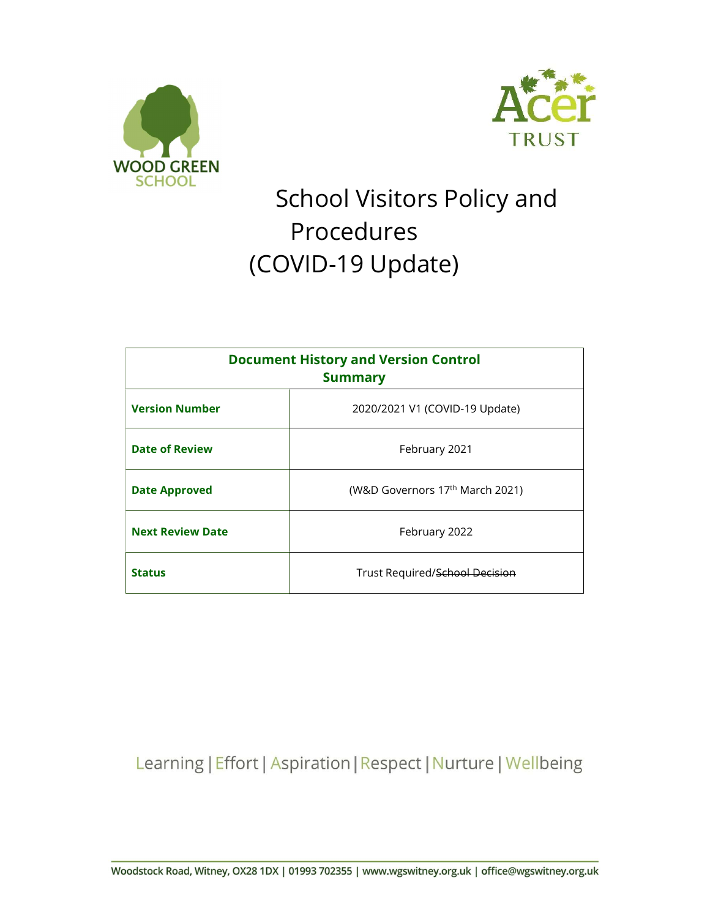



# School Visitors Policy and Procedures (COVID-19 Update)

| <b>Document History and Version Control</b><br><b>Summary</b> |                                 |
|---------------------------------------------------------------|---------------------------------|
| <b>Version Number</b>                                         | 2020/2021 V1 (COVID-19 Update)  |
| <b>Date of Review</b>                                         | February 2021                   |
| <b>Date Approved</b>                                          | (W&D Governors 17th March 2021) |
| <b>Next Review Date</b>                                       | February 2022                   |
| <b>Status</b>                                                 | Trust Required/School Decision  |

Learning | Effort | Aspiration | Respect | Nurture | Wellbeing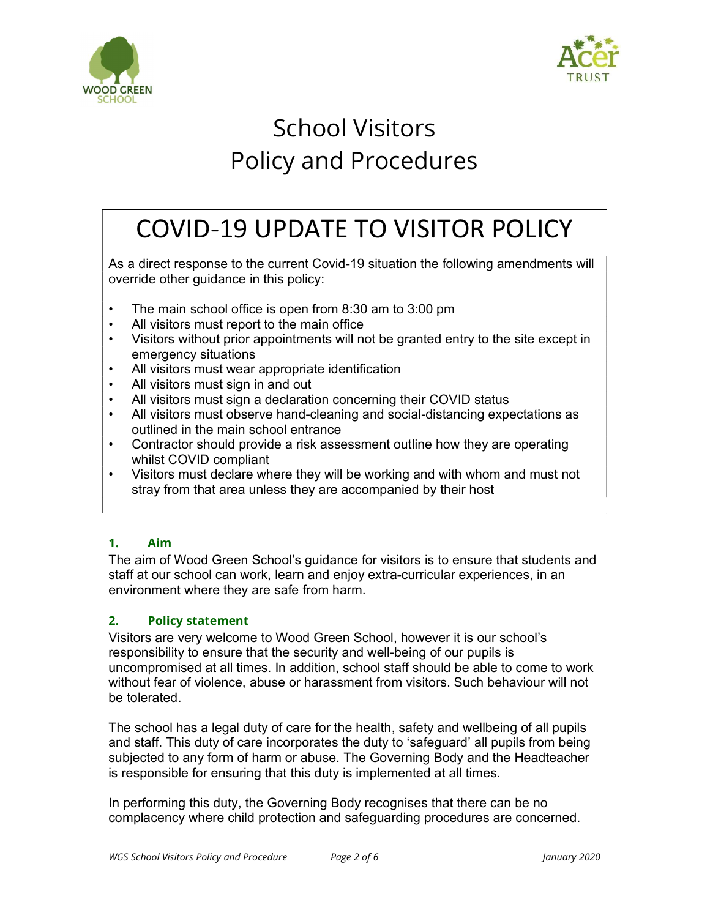



## School Visitors Policy and Procedures

## COVID-19 UPDATE TO VISITOR POLICY

As a direct response to the current Covid-19 situation the following amendments will override other guidance in this policy:

- The main school office is open from 8:30 am to 3:00 pm
- All visitors must report to the main office
- Visitors without prior appointments will not be granted entry to the site except in emergency situations
- All visitors must wear appropriate identification
- All visitors must sign in and out
- All visitors must sign a declaration concerning their COVID status
- All visitors must observe hand-cleaning and social-distancing expectations as outlined in the main school entrance
- Contractor should provide a risk assessment outline how they are operating whilst COVID compliant
- Visitors must declare where they will be working and with whom and must not stray from that area unless they are accompanied by their host

## 1. Aim

The aim of Wood Green School's guidance for visitors is to ensure that students and staff at our school can work, learn and enjoy extra-curricular experiences, in an environment where they are safe from harm.

## 2. Policy statement

Visitors are very welcome to Wood Green School, however it is our school's responsibility to ensure that the security and well-being of our pupils is uncompromised at all times. In addition, school staff should be able to come to work without fear of violence, abuse or harassment from visitors. Such behaviour will not be tolerated.

The school has a legal duty of care for the health, safety and wellbeing of all pupils and staff. This duty of care incorporates the duty to 'safeguard' all pupils from being subjected to any form of harm or abuse. The Governing Body and the Headteacher is responsible for ensuring that this duty is implemented at all times.

In performing this duty, the Governing Body recognises that there can be no complacency where child protection and safeguarding procedures are concerned.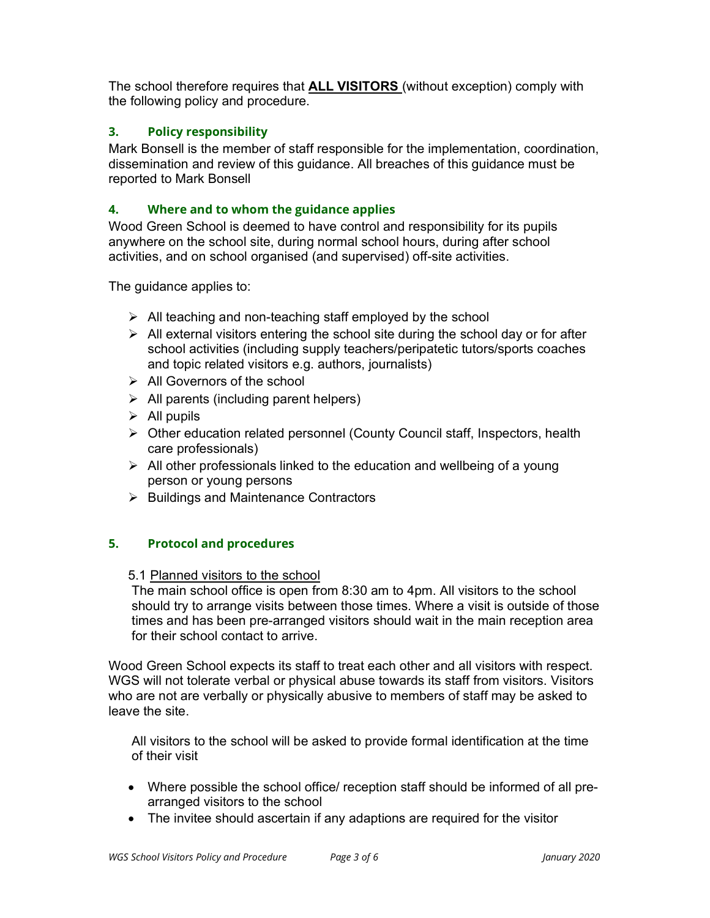The school therefore requires that ALL VISITORS (without exception) comply with the following policy and procedure.

### 3. Policy responsibility

Mark Bonsell is the member of staff responsible for the implementation, coordination, dissemination and review of this guidance. All breaches of this guidance must be reported to Mark Bonsell

### 4. Where and to whom the guidance applies

Wood Green School is deemed to have control and responsibility for its pupils anywhere on the school site, during normal school hours, during after school activities, and on school organised (and supervised) off-site activities.

The guidance applies to:

- $\triangleright$  All teaching and non-teaching staff employed by the school
- $\triangleright$  All external visitors entering the school site during the school day or for after school activities (including supply teachers/peripatetic tutors/sports coaches and topic related visitors e.g. authors, journalists)
- $\triangleright$  All Governors of the school
- $\triangleright$  All parents (including parent helpers)
- $\triangleright$  All pupils
- Other education related personnel (County Council staff, Inspectors, health care professionals)
- $\triangleright$  All other professionals linked to the education and wellbeing of a young person or young persons
- $\triangleright$  Buildings and Maintenance Contractors

#### 5. Protocol and procedures

5.1 Planned visitors to the school

The main school office is open from 8:30 am to 4pm. All visitors to the school should try to arrange visits between those times. Where a visit is outside of those times and has been pre-arranged visitors should wait in the main reception area for their school contact to arrive.

Wood Green School expects its staff to treat each other and all visitors with respect. WGS will not tolerate verbal or physical abuse towards its staff from visitors. Visitors who are not are verbally or physically abusive to members of staff may be asked to leave the site.

All visitors to the school will be asked to provide formal identification at the time of their visit

- Where possible the school office/ reception staff should be informed of all prearranged visitors to the school
- The invitee should ascertain if any adaptions are required for the visitor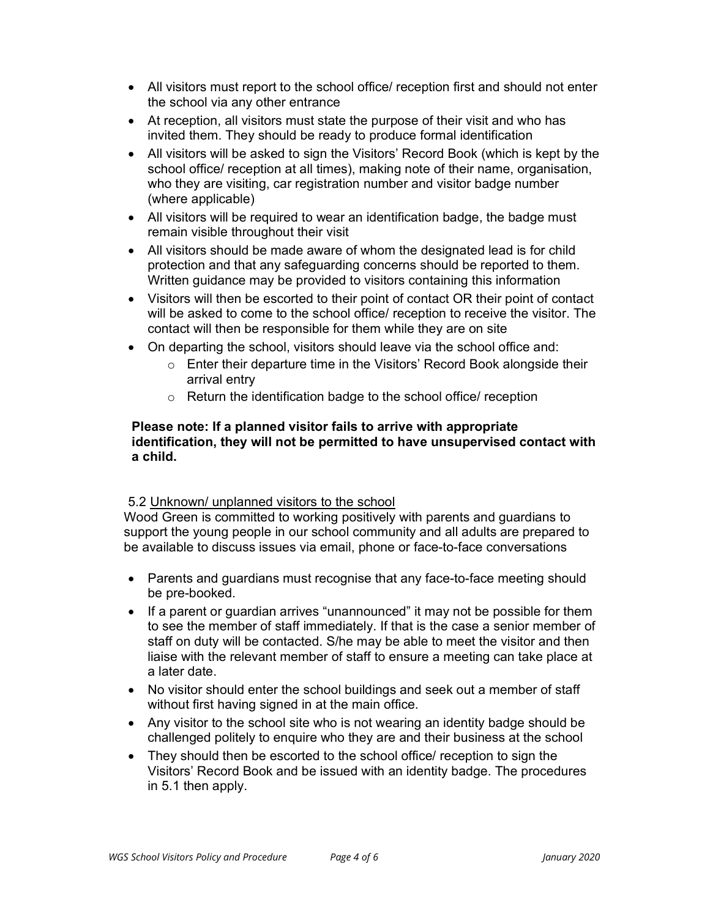- All visitors must report to the school office/ reception first and should not enter the school via any other entrance
- At reception, all visitors must state the purpose of their visit and who has invited them. They should be ready to produce formal identification
- All visitors will be asked to sign the Visitors' Record Book (which is kept by the school office/ reception at all times), making note of their name, organisation, who they are visiting, car registration number and visitor badge number (where applicable)
- All visitors will be required to wear an identification badge, the badge must remain visible throughout their visit
- All visitors should be made aware of whom the designated lead is for child protection and that any safeguarding concerns should be reported to them. Written guidance may be provided to visitors containing this information
- Visitors will then be escorted to their point of contact OR their point of contact will be asked to come to the school office/ reception to receive the visitor. The contact will then be responsible for them while they are on site
- On departing the school, visitors should leave via the school office and:
	- o Enter their departure time in the Visitors' Record Book alongside their arrival entry
	- o Return the identification badge to the school office/ reception

#### Please note: If a planned visitor fails to arrive with appropriate identification, they will not be permitted to have unsupervised contact with a child.

#### 5.2 Unknown/ unplanned visitors to the school

Wood Green is committed to working positively with parents and guardians to support the young people in our school community and all adults are prepared to be available to discuss issues via email, phone or face-to-face conversations

- Parents and guardians must recognise that any face-to-face meeting should be pre-booked.
- If a parent or guardian arrives "unannounced" it may not be possible for them to see the member of staff immediately. If that is the case a senior member of staff on duty will be contacted. S/he may be able to meet the visitor and then liaise with the relevant member of staff to ensure a meeting can take place at a later date.
- No visitor should enter the school buildings and seek out a member of staff without first having signed in at the main office.
- Any visitor to the school site who is not wearing an identity badge should be challenged politely to enquire who they are and their business at the school
- They should then be escorted to the school office/ reception to sign the Visitors' Record Book and be issued with an identity badge. The procedures in 5.1 then apply.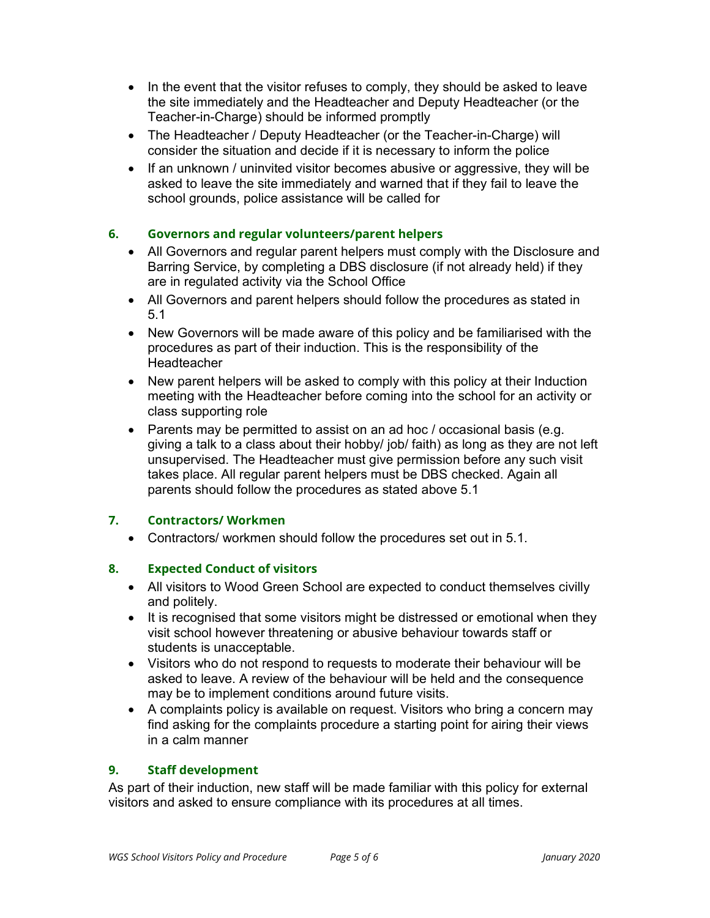- $\bullet$  In the event that the visitor refuses to comply, they should be asked to leave the site immediately and the Headteacher and Deputy Headteacher (or the Teacher-in-Charge) should be informed promptly
- The Headteacher / Deputy Headteacher (or the Teacher-in-Charge) will consider the situation and decide if it is necessary to inform the police
- If an unknown / uninvited visitor becomes abusive or aggressive, they will be asked to leave the site immediately and warned that if they fail to leave the school grounds, police assistance will be called for

#### 6. Governors and regular volunteers/parent helpers

- All Governors and regular parent helpers must comply with the Disclosure and Barring Service, by completing a DBS disclosure (if not already held) if they are in regulated activity via the School Office
- All Governors and parent helpers should follow the procedures as stated in 5.1
- New Governors will be made aware of this policy and be familiarised with the procedures as part of their induction. This is the responsibility of the Headteacher
- New parent helpers will be asked to comply with this policy at their Induction meeting with the Headteacher before coming into the school for an activity or class supporting role
- Parents may be permitted to assist on an ad hoc / occasional basis (e.g. giving a talk to a class about their hobby/ job/ faith) as long as they are not left unsupervised. The Headteacher must give permission before any such visit takes place. All regular parent helpers must be DBS checked. Again all parents should follow the procedures as stated above 5.1

#### 7. Contractors/ Workmen

Contractors/ workmen should follow the procedures set out in 5.1.

## 8. Expected Conduct of visitors

- All visitors to Wood Green School are expected to conduct themselves civilly and politely.
- It is recognised that some visitors might be distressed or emotional when they visit school however threatening or abusive behaviour towards staff or students is unacceptable.
- Visitors who do not respond to requests to moderate their behaviour will be asked to leave. A review of the behaviour will be held and the consequence may be to implement conditions around future visits.
- A complaints policy is available on request. Visitors who bring a concern may find asking for the complaints procedure a starting point for airing their views in a calm manner

## 9. Staff development

As part of their induction, new staff will be made familiar with this policy for external visitors and asked to ensure compliance with its procedures at all times.